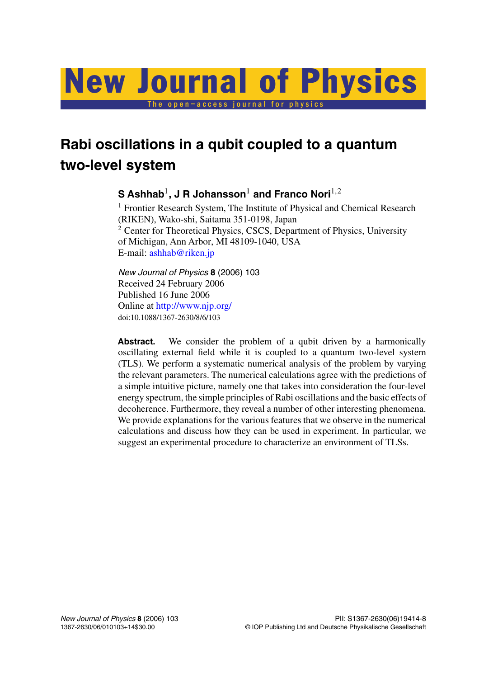# The open–access journal for physics New Journal of Physics

## **Rabi oscillations in a qubit coupled to a quantum two-level system**

## **S Ashhab**1**, J R Johansson**<sup>1</sup> **and Franco Nori**1*,*<sup>2</sup>

<sup>1</sup> Frontier Research System, The Institute of Physical and Chemical Research (RIKEN), Wako-shi, Saitama 351-0198, Japan <sup>2</sup> Center for Theoretical Physics, CSCS, Department of Physics, University of Michigan, Ann Arbor, MI 48109-1040, USA E-mail: [ashhab@riken.jp](mailto:ashhab@riken.jp)

*New Journal of Physics* **8** (2006) 103 Received 24 February 2006 Published 16 June 2006 Online at <http://www.njp.org/> doi:10.1088/1367-2630/8/6/103

Abstract. We consider the problem of a qubit driven by a harmonically oscillating external field while it is coupled to a quantum two-level system (TLS). We perform a systematic numerical analysis of the problem by varying the relevant parameters. The numerical calculations agree with the predictions of a simple intuitive picture, namely one that takes into consideration the four-level energy spectrum, the simple principles of Rabi oscillations and the basic effects of decoherence. Furthermore, they reveal a number of other interesting phenomena. We provide explanations for the various features that we observe in the numerical calculations and discuss how they can be used in experiment. In particular, we suggest an experimental procedure to characterize an environment of TLSs.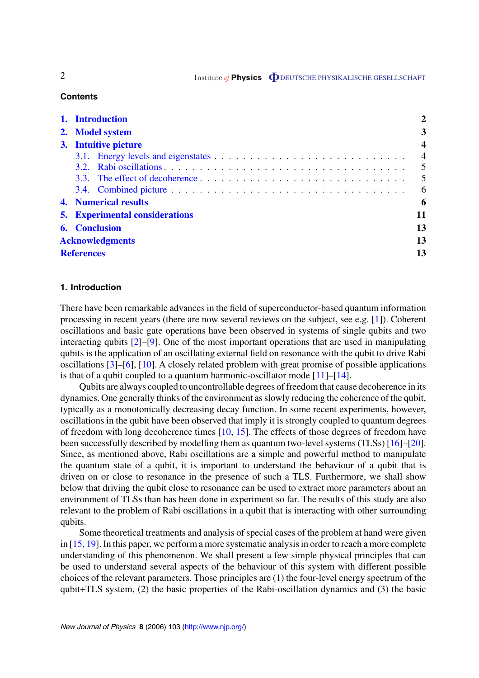2 Institute *of* **Physics O** DEUTSCHE PHYSIKALISCHE GESELLSCHAFT

#### **Contents**

| 1. Introduction                       | 2                       |
|---------------------------------------|-------------------------|
| 2. Model system                       | 3                       |
| 3. Intuitive picture                  | $\overline{\mathbf{4}}$ |
|                                       | $\overline{4}$          |
|                                       | 5                       |
|                                       | 5                       |
|                                       | 6                       |
| <b>4. Numerical results</b>           | 6                       |
| <b>5.</b> Experimental considerations | 11                      |
| <b>6.</b> Conclusion                  | 13                      |
| <b>Acknowledgments</b>                | 13                      |
| <b>References</b>                     | 13                      |

#### **1. Introduction**

There have been remarkable advances in the field of superconductor-based quantum information processing in recent years (there are now several reviews on the subject, see e.g. [\[1](#page-12-0)]). Coherent oscillations and basic gate operations have been observed in systems of single qubits and two interacting qubits [\[2](#page-12-0)]–[\[9](#page-12-0)]. One of the most important operations that are used in manipulating qubits is the application of an oscillating external field on resonance with the qubit to drive Rabi oscillations [\[3](#page-12-0)]–[\[6](#page-12-0)], [\[10](#page-12-0)]. A closely related problem with great promise of possible applications is that of a qubit coupled to a quantum harmonic-oscillator mode [\[11](#page-12-0)]–[[14\]](#page-12-0).

Qubits are always coupled to uncontrollable degrees of freedom that cause decoherence in its dynamics. One generally thinks of the environment as slowly reducing the coherence of the qubit, typically as a monotonically decreasing decay function. In some recent experiments, however, oscillations in the qubit have been observed that imply it is strongly coupled to quantum degrees of freedom with long decoherence times  $[10, 15]$  $[10, 15]$  $[10, 15]$  $[10, 15]$ . The effects of those degrees of freedom have been successfully described by modelling them as quantum two-level systems (TLSs) [\[16](#page-12-0)]–[\[20](#page-13-0)]. Since, as mentioned above, Rabi oscillations are a simple and powerful method to manipulate the quantum state of a qubit, it is important to understand the behaviour of a qubit that is driven on or close to resonance in the presence of such a TLS. Furthermore, we shall show below that driving the qubit close to resonance can be used to extract more parameters about an environment of TLSs than has been done in experiment so far. The results of this study are also relevant to the problem of Rabi oscillations in a qubit that is interacting with other surrounding qubits.

Some theoretical treatments and analysis of special cases of the problem at hand were given in [\[15](#page-12-0), [19](#page-13-0)]. In this paper, we perform a more systematic analysis in order to reach a more complete understanding of this phenomenon. We shall present a few simple physical principles that can be used to understand several aspects of the behaviour of this system with different possible choices of the relevant parameters. Those principles are (1) the four-level energy spectrum of the qubit+TLS system, (2) the basic properties of the Rabi-oscillation dynamics and (3) the basic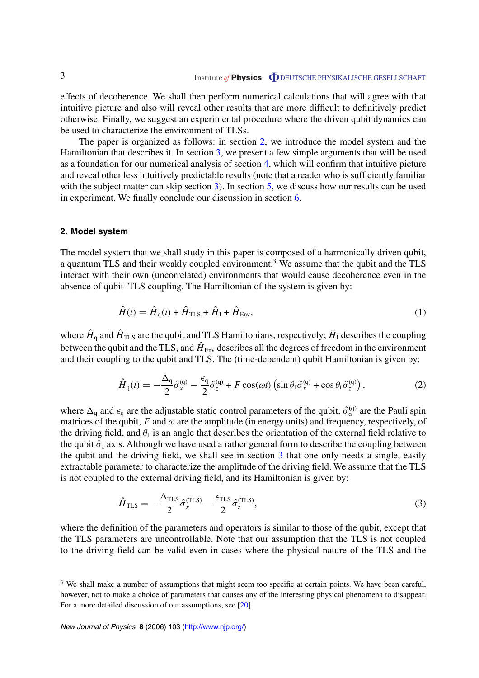<span id="page-2-0"></span>effects of decoherence. We shall then perform numerical calculations that will agree with that intuitive picture and also will reveal other results that are more difficult to definitively predict otherwise. Finally, we suggest an experimental procedure where the driven qubit dynamics can be used to characterize the environment of TLSs.

The paper is organized as follows: in section 2, we introduce the model system and the Hamiltonian that describes it. In section [3](#page-3-0), we present a few simple arguments that will be used as a foundation for our numerical analysis of section [4,](#page-5-0) which will confirm that intuitive picture and reveal other less intuitively predictable results (note that a reader who is sufficiently familiar with the subject matter can skip section [3\)](#page-3-0). In section [5](#page-10-0), we discuss how our results can be used in experiment. We finally conclude our discussion in section [6.](#page-12-0)

#### **2. Model system**

The model system that we shall study in this paper is composed of a harmonically driven qubit, a quantum TLS and their weakly coupled environment.<sup>3</sup> We assume that the qubit and the TLS interact with their own (uncorrelated) environments that would cause decoherence even in the absence of qubit–TLS coupling. The Hamiltonian of the system is given by:

$$
\hat{H}(t) = \hat{H}_{\rm q}(t) + \hat{H}_{\rm TLS} + \hat{H}_{\rm I} + \hat{H}_{\rm Env},\tag{1}
$$

where  $\hat{H}_q$  and  $\hat{H}_{\text{TLS}}$  are the qubit and TLS Hamiltonians, respectively;  $\hat{H}_I$  describes the coupling between the qubit and the TLS, and  $\hat{H}_{Env}$  describes all the degrees of freedom in the environment and their coupling to the qubit and TLS. The (time-dependent) qubit Hamiltonian is given by:

$$
\hat{H}_{\mathbf{q}}(t) = -\frac{\Delta_{\mathbf{q}}}{2}\hat{\sigma}_{x}^{(\mathbf{q})} - \frac{\epsilon_{\mathbf{q}}}{2}\hat{\sigma}_{z}^{(\mathbf{q})} + F\cos(\omega t)\left(\sin\theta_{\mathbf{f}}\hat{\sigma}_{x}^{(\mathbf{q})} + \cos\theta_{\mathbf{f}}\hat{\sigma}_{z}^{(\mathbf{q})}\right),\tag{2}
$$

where  $\Delta_q$  and  $\epsilon_q$  are the adjustable static control parameters of the qubit,  $\hat{\sigma}_{\alpha}^{(q)}$  are the Pauli spin matrices of the qubit,  $F$  and  $\omega$  are the amplitude (in energy units) and frequency, respectively, of the driving field, and  $\theta_f$  is an angle that describes the orientation of the external field relative to the qubit  $\hat{\sigma}_z$  axis. Although we have used a rather general form to describe the coupling between the qubit and the driving field, we shall see in section [3](#page-3-0) that one only needs a single, easily extractable parameter to characterize the amplitude of the driving field. We assume that the TLS is not coupled to the external driving field, and its Hamiltonian is given by:

$$
\hat{H}_{\rm TLS} = -\frac{\Delta_{\rm TLS}}{2} \hat{\sigma}_x^{\rm (TLS)} - \frac{\epsilon_{\rm TLS}}{2} \hat{\sigma}_z^{\rm (TLS)},\tag{3}
$$

where the definition of the parameters and operators is similar to those of the qubit, except that the TLS parameters are uncontrollable. Note that our assumption that the TLS is not coupled to the driving field can be valid even in cases where the physical nature of the TLS and the

<sup>&</sup>lt;sup>3</sup> We shall make a number of assumptions that might seem too specific at certain points. We have been careful, however, not to make a choice of parameters that causes any of the interesting physical phenomena to disappear. For a more detailed discussion of our assumptions, see [\[20](#page-13-0)].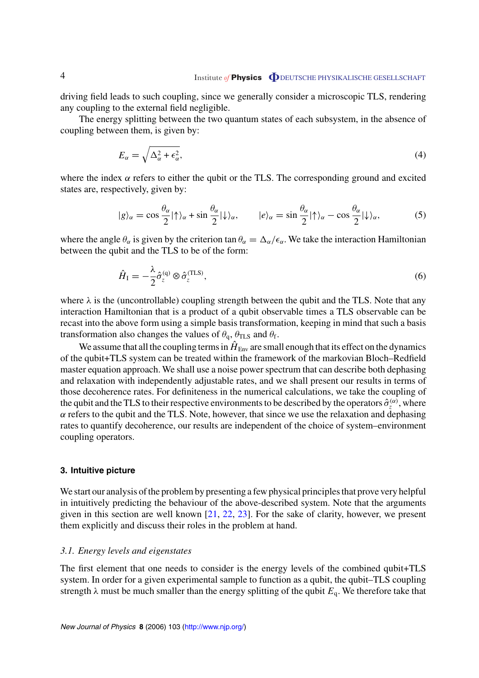## <span id="page-3-0"></span>4 Institute *of* **Physics O** DEUTSCHE PHYSIKALISCHE GESELLSCHAFT

driving field leads to such coupling, since we generally consider a microscopic TLS, rendering any coupling to the external field negligible.

The energy splitting between the two quantum states of each subsystem, in the absence of coupling between them, is given by:

$$
E_{\alpha} = \sqrt{\Delta_{\alpha}^2 + \epsilon_{\alpha}^2},\tag{4}
$$

where the index  $\alpha$  refers to either the qubit or the TLS. The corresponding ground and excited states are, respectively, given by:

$$
|g\rangle_{\alpha} = \cos\frac{\theta_{\alpha}}{2}|\uparrow\rangle_{\alpha} + \sin\frac{\theta_{\alpha}}{2}|\downarrow\rangle_{\alpha}, \qquad |e\rangle_{\alpha} = \sin\frac{\theta_{\alpha}}{2}|\uparrow\rangle_{\alpha} - \cos\frac{\theta_{\alpha}}{2}|\downarrow\rangle_{\alpha}, \tag{5}
$$

where the angle  $\theta_{\alpha}$  is given by the criterion tan  $\theta_{\alpha} = \Delta_{\alpha}/\epsilon_{\alpha}$ . We take the interaction Hamiltonian between the qubit and the TLS to be of the form:

$$
\hat{H}_{\rm I} = -\frac{\lambda}{2} \hat{\sigma}_z^{(\rm q)} \otimes \hat{\sigma}_z^{(\rm TLS)},\tag{6}
$$

where  $\lambda$  is the (uncontrollable) coupling strength between the qubit and the TLS. Note that any interaction Hamiltonian that is a product of a qubit observable times a TLS observable can be recast into the above form using a simple basis transformation, keeping in mind that such a basis transformation also changes the values of  $\theta_{q}$ ,  $\theta_{TLS}$  and  $\theta_{f}$ .

We assume that all the coupling terms in  $\hat{H}_{Env}$  are small enough that its effect on the dynamics of the qubit+TLS system can be treated within the framework of the markovian Bloch–Redfield master equation approach. We shall use a noise power spectrum that can describe both dephasing and relaxation with independently adjustable rates, and we shall present our results in terms of those decoherence rates. For definiteness in the numerical calculations, we take the coupling of the qubit and the TLS to their respective environments to be described by the operators  $\hat{\sigma}_{z}^{(\alpha)}$ , where  $\alpha$  refers to the qubit and the TLS. Note, however, that since we use the relaxation and dephasing rates to quantify decoherence, our results are independent of the choice of system–environment coupling operators.

#### **3. Intuitive picture**

We start our analysis of the problem by presenting a few physical principles that prove very helpful in intuitively predicting the behaviour of the above-described system. Note that the arguments given in this section are well known  $[21, 22, 23]$  $[21, 22, 23]$  $[21, 22, 23]$  $[21, 22, 23]$  $[21, 22, 23]$  $[21, 22, 23]$ . For the sake of clarity, however, we present them explicitly and discuss their roles in the problem at hand.

#### *3.1. Energy levels and eigenstates*

The first element that one needs to consider is the energy levels of the combined qubit+TLS system. In order for a given experimental sample to function as a qubit, the qubit–TLS coupling strength  $\lambda$  must be much smaller than the energy splitting of the qubit  $E_q$ . We therefore take that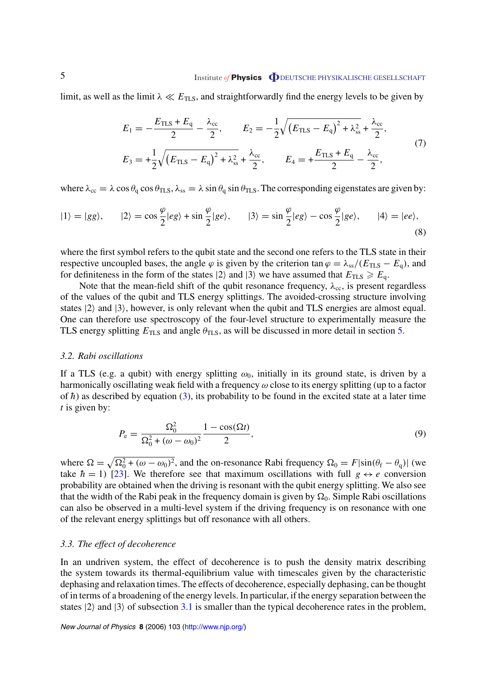### <span id="page-4-0"></span>5 **Institute of Physics DEUTSCHE PHYSIKALISCHE GESELLSCHAFT**

limit, as well as the limit  $\lambda \ll E_{\text{TLS}}$ , and straightforwardly find the energy levels to be given by

$$
E_1 = -\frac{E_{\text{TLS}} + E_q}{2} - \frac{\lambda_{\text{cc}}}{2}, \qquad E_2 = -\frac{1}{2} \sqrt{\left(E_{\text{TLS}} - E_q\right)^2 + \lambda_{\text{ss}}^2} + \frac{\lambda_{\text{cc}}}{2},
$$
  
\n
$$
E_3 = +\frac{1}{2} \sqrt{\left(E_{\text{TLS}} - E_q\right)^2 + \lambda_{\text{ss}}^2} + \frac{\lambda_{\text{cc}}}{2}, \qquad E_4 = +\frac{E_{\text{TLS}} + E_q}{2} - \frac{\lambda_{\text{cc}}}{2},
$$
\n(7)

where  $\lambda_{\rm cc} = \lambda \cos \theta_{\rm q} \cos \theta_{\rm TLS}$ ,  $\lambda_{\rm ss} = \lambda \sin \theta_{\rm q} \sin \theta_{\rm TLS}$ . The corresponding eigenstates are given by:

$$
|1\rangle = |gg\rangle, \qquad |2\rangle = \cos\frac{\varphi}{2}|eg\rangle + \sin\frac{\varphi}{2}|ge\rangle, \qquad |3\rangle = \sin\frac{\varphi}{2}|eg\rangle - \cos\frac{\varphi}{2}|ge\rangle, \qquad |4\rangle = |ee\rangle,
$$
\n(8)

where the first symbol refers to the qubit state and the second one refers to the TLS state in their respective uncoupled bases, the angle  $\varphi$  is given by the criterion tan  $\varphi = \lambda_{ss}/(E_{TLS} - E_q)$ , and for definiteness in the form of the states  $|2\rangle$  and  $|3\rangle$  we have assumed that  $E_{\text{TLS}} \ge E_q$ .

Note that the mean-field shift of the qubit resonance frequency,  $\lambda_{cc}$ , is present regardless of the values of the qubit and TLS energy splittings. The avoided-crossing structure involving states  $|2\rangle$  and  $|3\rangle$ , however, is only relevant when the qubit and TLS energies are almost equal. One can therefore use spectroscopy of the four-level structure to experimentally measure the TLS energy splitting  $E_{\text{TLS}}$  and angle  $\theta_{\text{TLS}}$ , as will be discussed in more detail in section [5.](#page-10-0)

#### *3.2. Rabi oscillations*

If a TLS (e.g. a qubit) with energy splitting  $\omega_0$ , initially in its ground state, is driven by a harmonically oscillating weak field with a frequency *ω* close to its energy splitting (up to a factor of  $\hbar$ ) as described by equation ([3\)](#page-2-0), its probability to be found in the excited state at a later time *t* is given by:

$$
P_{\rm e} = \frac{\Omega_0^2}{\Omega_0^2 + (\omega - \omega_0)^2} \frac{1 - \cos(\Omega t)}{2},\tag{9}
$$

where  $\Omega = \sqrt{\Omega_0^2 + (\omega - \omega_0)^2}$ , and the on-resonance Rabi frequency  $\Omega_0 = F|\sin(\theta_f - \theta_q)|$  (we take  $\hbar = 1$ ) [[23\]](#page-13-0). We therefore see that maximum oscillations with full  $g \leftrightarrow e$  conversion probability are obtained when the driving is resonant with the qubit energy splitting. We also see that the width of the Rabi peak in the frequency domain is given by  $\Omega_0$ . Simple Rabi oscillations can also be observed in a multi-level system if the driving frequency is on resonance with one of the relevant energy splittings but off resonance with all others.

#### *3.3. The effect of decoherence*

In an undriven system, the effect of decoherence is to push the density matrix describing the system towards its thermal-equilibrium value with timescales given by the characteristic dephasing and relaxation times. The effects of decoherence, especially dephasing, can be thought of in terms of a broadening of the energy levels. In particular, if the energy separation between the states  $|2\rangle$  and  $|3\rangle$  of subsection [3.1](#page-3-0) is smaller than the typical decoherence rates in the problem,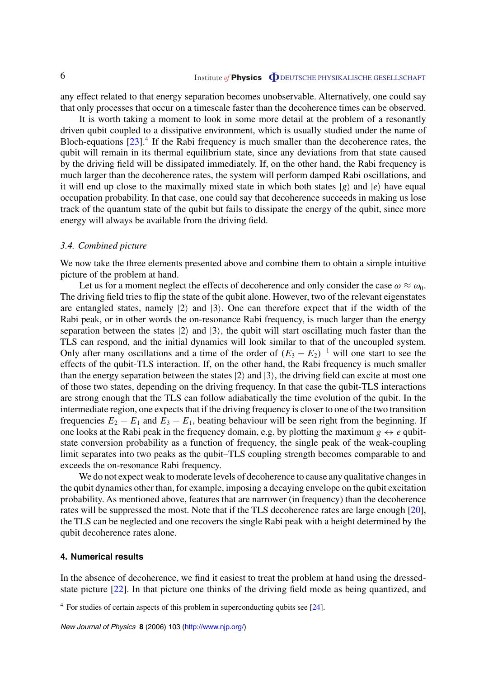<span id="page-5-0"></span>any effect related to that energy separation becomes unobservable. Alternatively, one could say that only processes that occur on a timescale faster than the decoherence times can be observed.

It is worth taking a moment to look in some more detail at the problem of a resonantly driven qubit coupled to a dissipative environment, which is usually studied under the name of Bloch-equations  $[23]$  $[23]$ <sup>4</sup>. If the Rabi frequency is much smaller than the decoherence rates, the qubit will remain in its thermal equilibrium state, since any deviations from that state caused by the driving field will be dissipated immediately. If, on the other hand, the Rabi frequency is much larger than the decoherence rates, the system will perform damped Rabi oscillations, and it will end up close to the maximally mixed state in which both states  $|g\rangle$  and  $|e\rangle$  have equal occupation probability. In that case, one could say that decoherence succeeds in making us lose track of the quantum state of the qubit but fails to dissipate the energy of the qubit, since more energy will always be available from the driving field.

#### *3.4. Combined picture*

We now take the three elements presented above and combine them to obtain a simple intuitive picture of the problem at hand.

Let us for a moment neglect the effects of decoherence and only consider the case  $\omega \approx \omega_0$ . The driving field tries to flip the state of the qubit alone. However, two of the relevant eigenstates are entangled states, namely  $|2\rangle$  and  $|3\rangle$ . One can therefore expect that if the width of the Rabi peak, or in other words the on-resonance Rabi frequency, is much larger than the energy separation between the states  $|2\rangle$  and  $|3\rangle$ , the qubit will start oscillating much faster than the TLS can respond, and the initial dynamics will look similar to that of the uncoupled system. Only after many oscillations and a time of the order of  $(E_3 - E_2)^{-1}$  will one start to see the effects of the qubit-TLS interaction. If, on the other hand, the Rabi frequency is much smaller than the energy separation between the states  $|2\rangle$  and  $|3\rangle$ , the driving field can excite at most one of those two states, depending on the driving frequency. In that case the qubit-TLS interactions are strong enough that the TLS can follow adiabatically the time evolution of the qubit. In the intermediate region, one expects that if the driving frequency is closer to one of the two transition frequencies  $E_2 - E_1$  and  $E_3 - E_1$ , beating behaviour will be seen right from the beginning. If one looks at the Rabi peak in the frequency domain, e.g. by plotting the maximum  $g \leftrightarrow e$  qubitstate conversion probability as a function of frequency, the single peak of the weak-coupling limit separates into two peaks as the qubit–TLS coupling strength becomes comparable to and exceeds the on-resonance Rabi frequency.

We do not expect weak to moderate levels of decoherence to cause any qualitative changes in the qubit dynamics other than, for example, imposing a decaying envelope on the qubit excitation probability. As mentioned above, features that are narrower (in frequency) than the decoherence rates will be suppressed the most. Note that if the TLS decoherence rates are large enough [\[20](#page-13-0)], the TLS can be neglected and one recovers the single Rabi peak with a height determined by the qubit decoherence rates alone.

#### **4. Numerical results**

In the absence of decoherence, we find it easiest to treat the problem at hand using the dressedstate picture [\[22](#page-13-0)]. In that picture one thinks of the driving field mode as being quantized, and

<sup>4</sup> For studies of certain aspects of this problem in superconducting qubits see [\[24](#page-13-0)].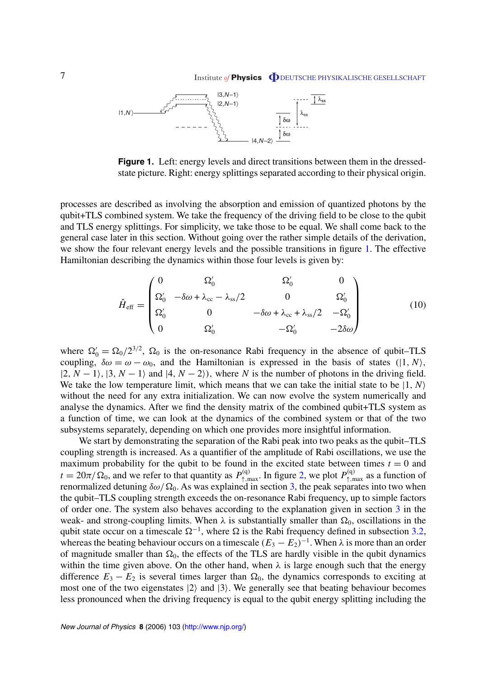<span id="page-6-0"></span>

**Figure 1.** Left: energy levels and direct transitions between them in the dressedstate picture. Right: energy splittings separated according to their physical origin.

processes are described as involving the absorption and emission of quantized photons by the qubit+TLS combined system. We take the frequency of the driving field to be close to the qubit and TLS energy splittings. For simplicity, we take those to be equal. We shall come back to the general case later in this section. Without going over the rather simple details of the derivation, we show the four relevant energy levels and the possible transitions in figure 1. The effective Hamiltonian describing the dynamics within those four levels is given by:

$$
\hat{H}_{\text{eff}} = \begin{pmatrix}\n0 & \Omega_0' & \Omega_0' & 0 \\
\Omega_0' & -\delta\omega + \lambda_{cc} - \lambda_{ss}/2 & 0 & \Omega_0' \\
\Omega_0' & 0 & -\delta\omega + \lambda_{cc} + \lambda_{ss}/2 & -\Omega_0' \\
0 & \Omega_0' & -\Omega_0' & -2\delta\omega\n\end{pmatrix}
$$
\n(10)

where  $\Omega'_0 = \Omega_0 / 2^{3/2}$ ,  $\Omega_0$  is the on-resonance Rabi frequency in the absence of qubit–TLS coupling,  $\delta \omega = \omega - \omega_0$ , and the Hamiltonian is expressed in the basis of states (|1, N),  $|2, N - 1\rangle$ ,  $|3, N - 1\rangle$  and  $|4, N - 2\rangle$ , where *N* is the number of photons in the driving field. We take the low temperature limit, which means that we can take the initial state to be  $|1, N\rangle$ without the need for any extra initialization. We can now evolve the system numerically and analyse the dynamics. After we find the density matrix of the combined qubit+TLS system as a function of time, we can look at the dynamics of the combined system or that of the two subsystems separately, depending on which one provides more insightful information.

We start by demonstrating the separation of the Rabi peak into two peaks as the qubit–TLS coupling strength is increased. As a quantifier of the amplitude of Rabi oscillations, we use the maximum probability for the qubit to be found in the excited state between times  $t = 0$  and  $t = 20\pi/\Omega_0$ , and we refer to that quantity as  $P_{\uparrow,\text{max}}^{(q)}$ . In figure [2,](#page-7-0) we plot  $P_{\uparrow,\text{max}}^{(q)}$  as a function of renormalized detuning  $\delta \omega / \Omega_0$ . As was explained in section [3,](#page-3-0) the peak separates into two when the qubit–TLS coupling strength exceeds the on-resonance Rabi frequency, up to simple factors of order one. The system also behaves according to the explanation given in section [3](#page-3-0) in the weak- and strong-coupling limits. When  $\lambda$  is substantially smaller than  $\Omega_0$ , oscillations in the qubit state occur on a timescale  $\Omega^{-1}$ , where  $\Omega$  is the Rabi frequency defined in subsection [3.2](#page-4-0), whereas the beating behaviour occurs on a timescale  $(E_3 - E_2)^{-1}$ . When  $\lambda$  is more than an order of magnitude smaller than  $\Omega_0$ , the effects of the TLS are hardly visible in the qubit dynamics within the time given above. On the other hand, when  $\lambda$  is large enough such that the energy difference  $E_3 - E_2$  is several times larger than  $\Omega_0$ , the dynamics corresponds to exciting at most one of the two eigenstates  $|2\rangle$  and  $|3\rangle$ . We generally see that beating behaviour becomes less pronounced when the driving frequency is equal to the qubit energy splitting including the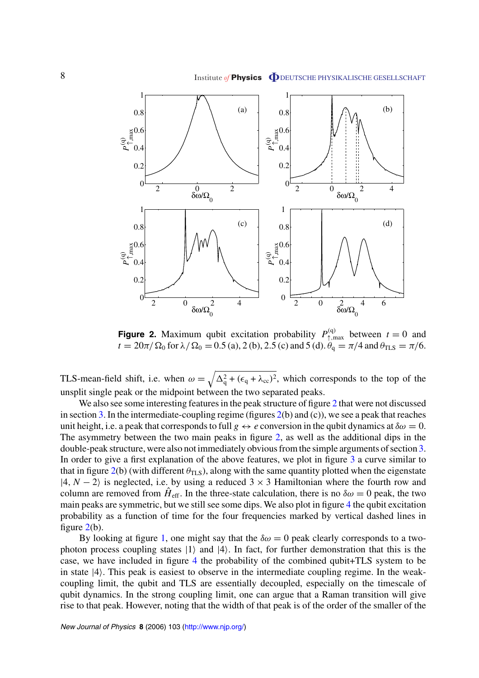## <span id="page-7-0"></span>8 Institute *of* **Physics O** DEUTSCHE PHYSIKALISCHE GESELLSCHAFT



**Figure 2.** Maximum qubit excitation probability  $P_{\uparrow,\text{max}}^{(q)}$  between  $t = 0$  and  $t = 20\pi/\Omega_0$  for  $\lambda/\Omega_0 = 0.5$  (a), 2 (b), 2.5 (c) and 5 (d).  $\theta_q = \pi/4$  and  $\theta_{\text{TLS}} = \pi/6$ .

TLS-mean-field shift, i.e. when  $\omega = \sqrt{\Delta_q^2 + (\epsilon_q + \lambda_{cc})^2}$ , which corresponds to the top of the unsplit single peak or the midpoint between the two separated peaks.

We also see some interesting features in the peak structure of figure 2 that were not discussed in section [3](#page-3-0). In the intermediate-coupling regime (figures  $2(b)$  and (c)), we see a peak that reaches unit height, i.e. a peak that corresponds to full  $g \leftrightarrow e$  conversion in the qubit dynamics at  $\delta \omega = 0$ . The asymmetry between the two main peaks in figure 2, as well as the additional dips in the double-peak structure, were also not immediately obvious from the simple arguments of section [3](#page-3-0). In order to give a first explanation of the above features, we plot in figure [3](#page-8-0) a curve similar to that in figure  $2(b)$  (with different  $\theta_{\text{TLS}}$ ), along with the same quantity plotted when the eigenstate  $|4, N - 2\rangle$  is neglected, i.e. by using a reduced  $3 \times 3$  Hamiltonian where the fourth row and column are removed from  $\hat{H}_{\text{eff}}$ . In the three-state calculation, there is no  $\delta\omega = 0$  peak, the two main peaks are symmetric, but we still see some dips. We also plot in figure [4](#page-8-0) the qubit excitation probability as a function of time for the four frequencies marked by vertical dashed lines in figure  $2(b)$ .

By looking at figure [1,](#page-6-0) one might say that the  $\delta \omega = 0$  peak clearly corresponds to a twophoton process coupling states  $|1\rangle$  and  $|4\rangle$ . In fact, for further demonstration that this is the case, we have included in figure [4](#page-8-0) the probability of the combined qubit+TLS system to be in state  $|4\rangle$ . This peak is easiest to observe in the intermediate coupling regime. In the weakcoupling limit, the qubit and TLS are essentially decoupled, especially on the timescale of qubit dynamics. In the strong coupling limit, one can argue that a Raman transition will give rise to that peak. However, noting that the width of that peak is of the order of the smaller of the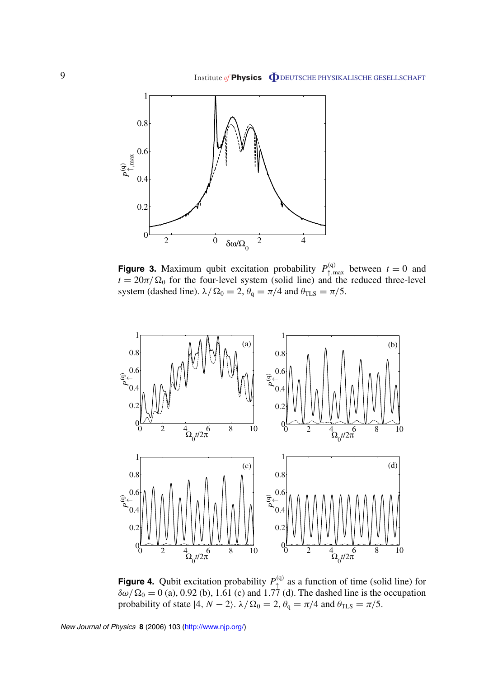<span id="page-8-0"></span>

**Figure 3.** Maximum qubit excitation probability  $P_{\uparrow,\text{max}}^{(q)}$  between  $t = 0$  and  $t = 20\pi/\Omega_0$  for the four-level system (solid line) and the reduced three-level system (dashed line).  $\lambda/\Omega_0 = 2$ ,  $\theta_q = \pi/4$  and  $\theta_{\text{TLS}} = \pi/5$ .



**Figure 4.** Qubit excitation probability  $P_{\perp}^{(q)}$  as a function of time (solid line) for  $\delta\omega/\Omega_0 = 0$  (a), 0.92 (b), 1.61 (c) and 1.77 (d). The dashed line is the occupation probability of state  $|4, N - 2\rangle$ .  $\lambda/\Omega_0 = 2$ ,  $\theta_q = \pi/4$  and  $\theta_{\text{TLS}} = \pi/5$ .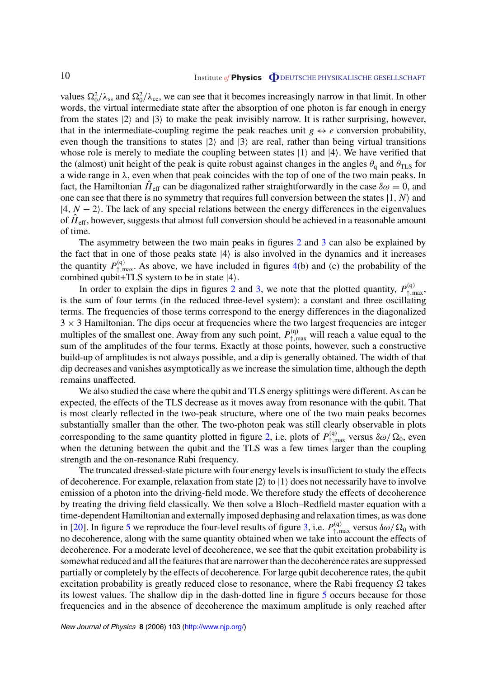values  $\Omega_0^2/\lambda_{ss}$  and  $\Omega_0^2/\lambda_{cc}$ , we can see that it becomes increasingly narrow in that limit. In other words, the virtual intermediate state after the absorption of one photon is far enough in energy from the states  $|2\rangle$  and  $|3\rangle$  to make the peak invisibly narrow. It is rather surprising, however, that in the intermediate-coupling regime the peak reaches unit  $g \leftrightarrow e$  conversion probability, even though the transitions to states  $|2\rangle$  and  $|3\rangle$  are real, rather than being virtual transitions whose role is merely to mediate the coupling between states  $|1\rangle$  and  $|4\rangle$ . We have verified that the (almost) unit height of the peak is quite robust against changes in the angles  $\theta_q$  and  $\theta_{\text{TLS}}$  for a wide range in *λ*, even when that peak coincides with the top of one of the two main peaks. In fact, the Hamiltonian  $H_{\text{eff}}$  can be diagonalized rather straightforwardly in the case  $\delta \omega = 0$ , and one can see that there is no symmetry that requires full conversion between the states  $|1, N\rangle$  and  $|4, N - 2\rangle$ . The lack of any special relations between the energy differences in the eigenvalues of  $\hat{H}_{\text{eff}}$ , however, suggests that almost full conversion should be achieved in a reasonable amount of time.

The asymmetry between the two main peaks in figures [2](#page-7-0) and [3](#page-8-0) can also be explained by the fact that in one of those peaks state  $|4\rangle$  is also involved in the dynamics and it increases the quantity  $P_{\uparrow,\text{max}}^{(q)}$ . As above, we have included in figures [4](#page-8-0)(b) and (c) the probability of the combined qubit+TLS system to be in state  $|4\rangle$ .

In order to explain the dips in figures [2](#page-7-0) and [3,](#page-8-0) we note that the plotted quantity,  $P_{\text{t,max}}^{(q)}$ , is the sum of four terms (in the reduced three-level system): a constant and three oscillating terms. The frequencies of those terms correspond to the energy differences in the diagonalized  $3 \times 3$  Hamiltonian. The dips occur at frequencies where the two largest frequencies are integer multiples of the smallest one. Away from any such point,  $P_{\uparrow,\text{max}}^{(q)}$  will reach a value equal to the sum of the amplitudes of the four terms. Exactly at those points, however, such a constructive build-up of amplitudes is not always possible, and a dip is generally obtained. The width of that dip decreases and vanishes asymptotically as we increase the simulation time, although the depth remains unaffected.

We also studied the case where the qubit and TLS energy splittings were different. As can be expected, the effects of the TLS decrease as it moves away from resonance with the qubit. That is most clearly reflected in the two-peak structure, where one of the two main peaks becomes substantially smaller than the other. The two-photon peak was still clearly observable in plots corresponding to the same quantity plotted in figure [2](#page-7-0), i.e. plots of  $P_{\uparrow,\text{max}}^{(q)}$  versus  $\delta\omega/\Omega_0$ , even when the detuning between the qubit and the TLS was a few times larger than the coupling strength and the on-resonance Rabi frequency.

The truncated dressed-state picture with four energy levels is insufficient to study the effects of decoherence. For example, relaxation from state  $|2\rangle$  to  $|1\rangle$  does not necessarily have to involve emission of a photon into the driving-field mode. We therefore study the effects of decoherence by treating the driving field classically. We then solve a Bloch–Redfield master equation with a time-dependent Hamiltonian and externally imposed dephasing and relaxation times, as was done in [\[20](#page-13-0)]. In figure [5](#page-10-0) we reproduce the four-level results of figure [3,](#page-8-0) i.e.  $P_{\uparrow,\text{max}}^{(q)}$  versus  $\delta\omega/\Omega_0$  with no decoherence, along with the same quantity obtained when we take into account the effects of decoherence. For a moderate level of decoherence, we see that the qubit excitation probability is somewhat reduced and all the features that are narrower than the decoherence rates are suppressed partially or completely by the effects of decoherence. For large qubit decoherence rates, the qubit excitation probability is greatly reduced close to resonance, where the Rabi frequency  $\Omega$  takes its lowest values. The shallow dip in the dash-dotted line in figure [5](#page-10-0) occurs because for those frequencies and in the absence of decoherence the maximum amplitude is only reached after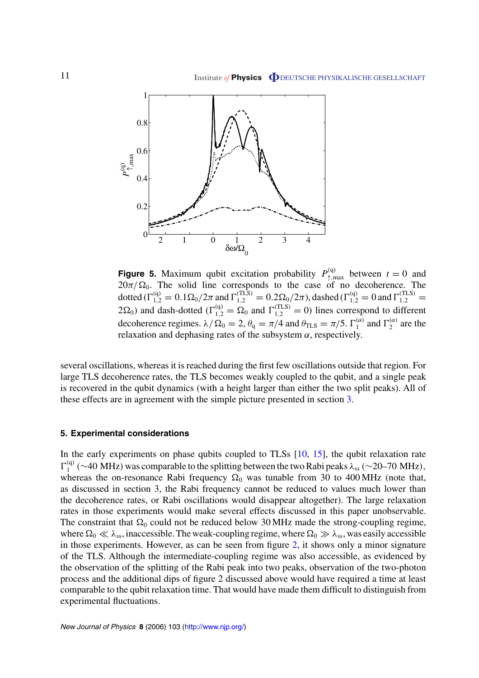<span id="page-10-0"></span>

**Figure 5.** Maximum qubit excitation probability  $P_{\uparrow,\text{max}}^{(q)}$  between  $t = 0$  and  $20\pi/\Omega_0$ . The solid line corresponds to the case of no decoherence. The dotted  $(\Gamma_{1,2}^{(q)} = 0.1 \Omega_0 / 2\pi$  and  $\Gamma_{1,2}^{(TLS)} = 0.2 \Omega_0 / 2\pi$ , dashed  $(\Gamma_{1,2}^{(q)} = 0$  and  $\Gamma_{1,2}^{(TLS)} = 0$  $2\Omega_0$ ) and dash-dotted ( $\Gamma_{1,2}^{(q)} = \Omega_0$  and  $\Gamma_{1,2}^{(TLS)} = 0$ ) lines correspond to different decoherence regimes.  $\lambda/\Omega_0 = 2$ ,  $\theta_q = \pi/4$  and  $\theta_{\text{TLS}} = \pi/5$ .  $\Gamma_1^{(\alpha)}$  and  $\Gamma_2^{(\alpha)}$  are the relaxation and dephasing rates of the subsystem *α*, respectively.

several oscillations, whereas it is reached during the first few oscillations outside that region. For large TLS decoherence rates, the TLS becomes weakly coupled to the qubit, and a single peak is recovered in the qubit dynamics (with a height larger than either the two split peaks). All of these effects are in agreement with the simple picture presented in section [3.](#page-3-0)

#### **5. Experimental considerations**

In the early experiments on phase qubits coupled to TLSs [\[10](#page-12-0), [15](#page-12-0)], the qubit relaxation rate  $\Gamma_1^{(q)}$  (∼40 MHz) was comparable to the splitting between the two Rabi peaks  $\lambda_{ss}$  (∼20–70 MHz), whereas the on-resonance Rabi frequency  $\Omega_0$  was tunable from 30 to 400 MHz (note that, as discussed in section 3, the Rabi frequency cannot be reduced to values much lower than the decoherence rates, or Rabi oscillations would disappear altogether). The large relaxation rates in those experiments would make several effects discussed in this paper unobservable. The constraint that  $\Omega_0$  could not be reduced below 30 MHz made the strong-coupling regime, where  $\Omega_0 \ll \lambda_{ss}$ , inaccessible. The weak-coupling regime, where  $\Omega_0 \gg \lambda_{ss}$ , was easily accessible in those experiments. However, as can be seen from figure [2](#page-7-0), it shows only a minor signature of the TLS. Although the intermediate-coupling regime was also accessible, as evidenced by the observation of the splitting of the Rabi peak into two peaks, observation of the two-photon process and the additional dips of figure 2 discussed above would have required a time at least comparable to the qubit relaxation time. That would have made them difficult to distinguish from experimental fluctuations.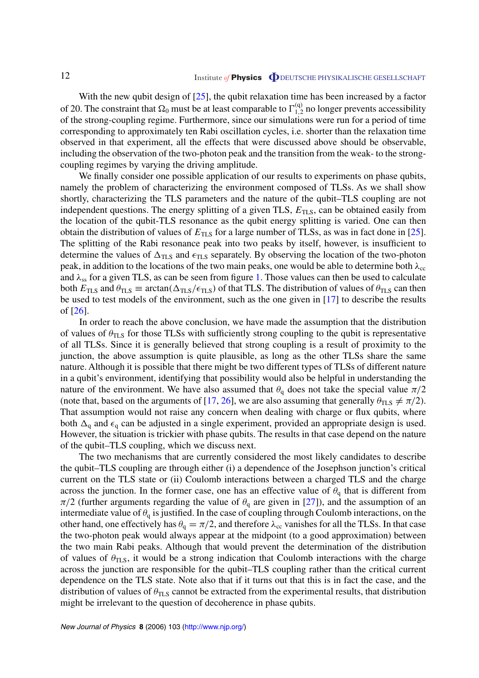With the new qubit design of [\[25](#page-13-0)], the qubit relaxation time has been increased by a factor of 20. The constraint that  $\Omega_0$  must be at least comparable to  $\Gamma_{1,2}^{(q)}$  no longer prevents accessibility of the strong-coupling regime. Furthermore, since our simulations were run for a period of time corresponding to approximately ten Rabi oscillation cycles, i.e. shorter than the relaxation time observed in that experiment, all the effects that were discussed above should be observable, including the observation of the two-photon peak and the transition from the weak- to the strongcoupling regimes by varying the driving amplitude.

We finally consider one possible application of our results to experiments on phase qubits, namely the problem of characterizing the environment composed of TLSs. As we shall show shortly, characterizing the TLS parameters and the nature of the qubit–TLS coupling are not independent questions. The energy splitting of a given TLS,  $E_{\text{TLS}}$ , can be obtained easily from the location of the qubit-TLS resonance as the qubit energy splitting is varied. One can then obtain the distribution of values of  $E_{\text{TLS}}$  for a large number of TLSs, as was in fact done in [\[25](#page-13-0)]. The splitting of the Rabi resonance peak into two peaks by itself, however, is insufficient to determine the values of  $\Delta_{TLS}$  and  $\epsilon_{TLS}$  separately. By observing the location of the two-photon peak, in addition to the locations of the two main peaks, one would be able to determine both  $\lambda_{cc}$ and *λ*ss for a given TLS, as can be seen from figure [1](#page-6-0). Those values can then be used to calculate both  $E_{\text{TLS}}$  and  $\theta_{\text{TLS}} \equiv \arctan(\Delta_{\text{TLS}}/\epsilon_{\text{TLS}})$  of that TLS. The distribution of values of  $\theta_{\text{TLS}}$  can then be used to test models of the environment, such as the one given in [\[17](#page-12-0)] to describe the results of [[26\]](#page-13-0).

In order to reach the above conclusion, we have made the assumption that the distribution of values of  $\theta_{\text{TLS}}$  for those TLSs with sufficiently strong coupling to the qubit is representative of all TLSs. Since it is generally believed that strong coupling is a result of proximity to the junction, the above assumption is quite plausible, as long as the other TLSs share the same nature. Although it is possible that there might be two different types of TLSs of different nature in a qubit's environment, identifying that possibility would also be helpful in understanding the nature of the environment. We have also assumed that  $\theta_q$  does not take the special value  $\pi/2$ (note that, based on the arguments of [[17,](#page-12-0) [26\]](#page-13-0), we are also assuming that generally  $\theta_{\text{TLS}} \neq \pi/2$ ). That assumption would not raise any concern when dealing with charge or flux qubits, where both  $\Delta_q$  and  $\epsilon_q$  can be adjusted in a single experiment, provided an appropriate design is used. However, the situation is trickier with phase qubits. The results in that case depend on the nature of the qubit–TLS coupling, which we discuss next.

The two mechanisms that are currently considered the most likely candidates to describe the qubit–TLS coupling are through either (i) a dependence of the Josephson junction's critical current on the TLS state or (ii) Coulomb interactions between a charged TLS and the charge across the junction. In the former case, one has an effective value of  $\theta_q$  that is different from  $\pi/2$  (further arguments regarding the value of  $\theta_q$  are given in [\[27](#page-13-0)]), and the assumption of an intermediate value of  $\theta_q$  is justified. In the case of coupling through Coulomb interactions, on the other hand, one effectively has  $\theta_q = \pi/2$ , and therefore  $\lambda_{cc}$  vanishes for all the TLSs. In that case the two-photon peak would always appear at the midpoint (to a good approximation) between the two main Rabi peaks. Although that would prevent the determination of the distribution of values of  $\theta_{\text{TLS}}$ , it would be a strong indication that Coulomb interactions with the charge across the junction are responsible for the qubit–TLS coupling rather than the critical current dependence on the TLS state. Note also that if it turns out that this is in fact the case, and the distribution of values of  $\theta_{\text{TLS}}$  cannot be extracted from the experimental results, that distribution might be irrelevant to the question of decoherence in phase qubits.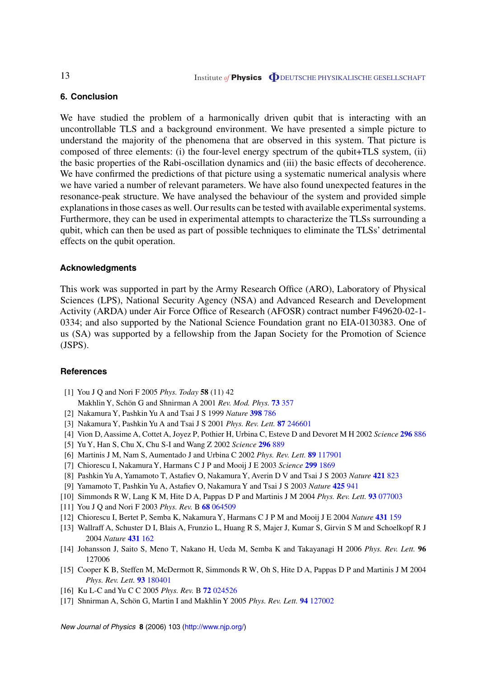#### **6. Conclusion**

We have studied the problem of a harmonically driven qubit that is interacting with an uncontrollable TLS and a background environment. We have presented a simple picture to understand the majority of the phenomena that are observed in this system. That picture is composed of three elements: (i) the four-level energy spectrum of the qubit+TLS system, (ii) the basic properties of the Rabi-oscillation dynamics and (iii) the basic effects of decoherence. We have confirmed the predictions of that picture using a systematic numerical analysis where we have varied a number of relevant parameters. We have also found unexpected features in the resonance-peak structure. We have analysed the behaviour of the system and provided simple explanations in those cases as well. Our results can be tested with available experimental systems. Furthermore, they can be used in experimental attempts to characterize the TLSs surrounding a qubit, which can then be used as part of possible techniques to eliminate the TLSs' detrimental effects on the qubit operation.

#### **Acknowledgments**

This work was supported in part by the Army Research Office (ARO), Laboratory of Physical Sciences (LPS), National Security Agency (NSA) and Advanced Research and Development Activity (ARDA) under Air Force Office of Research (AFOSR) contract number F49620-02-1- 0334; and also supported by the National Science Foundation grant no EIA-0130383. One of us (SA) was supported by a fellowship from the Japan Society for the Promotion of Science (JSPS).

#### **References**

- [1] You J Q and Nori F 2005 *Phys. Today* **58** (11) 42
- Makhlin Y, Schön G and Shnirman A 2001 *Rev. Mod. Phys.* **73** [357](http://dx.doi.org/10.1103/RevModPhys.73.357)
- [2] Nakamura Y, Pashkin Yu A and Tsai J S 1999 *Nature* **[398](http://dx.doi.org/10.1038/19718)** 786
- [3] Nakamura Y, Pashkin Yu A and Tsai J S 2001 *Phys. Rev. Lett.* **87** [246601](http://dx.doi.org/10.1103/PhysRevLett.87.246601)
- [4] Vion D, Aassime A, Cottet A, Joyez P, Pothier H, Urbina C, Esteve D and Devoret M H 2002 *Science* **[296](http://dx.doi.org/10.1126/science.1069372)** 886
- [5] Yu Y, Han S, Chu X, Chu S-I and Wang Z 2002 *Science* **[296](http://dx.doi.org/10.1126/science.1069452)** 889
- [6] Martinis J M, Nam S, Aumentado J and Urbina C 2002 *Phys. Rev. Lett.* **89** [117901](http://dx.doi.org/10.1103/PhysRevLett.89.117901)
- [7] Chiorescu I, Nakamura Y, Harmans C J P and Mooij J E 2003 *Science* **299** [1869](http://dx.doi.org/10.1126/science.1081045)
- [8] Pashkin Yu A, Yamamoto T, Astafiev O, Nakamura Y, Averin D V and Tsai J S 2003 *Nature* **[421](http://dx.doi.org/10.1038/nature01365)** 823
- [9] Yamamoto T, Pashkin Yu A, Astafiev O, Nakamura Y and Tsai J S 2003 *Nature* **[425](http://dx.doi.org/10.1038/nature02015)** 941
- [10] Simmonds R W, Lang K M, Hite D A, Pappas D P and Martinis J M 2004 *Phys. Rev. Lett.* **93** [077003](http://dx.doi.org/10.1103/PhysRevLett.93.077003)
- [11] You J Q and Nori F 2003 *Phys. Rev.* B **68** [064509](http://dx.doi.org/10.1103/PhysRevB.68.064509)
- [12] Chiorescu I, Bertet P, Semba K, Nakamura Y, Harmans C J P M and Mooij J E 2004 *Nature* **[431](http://dx.doi.org/10.1038/nature02831)** 159
- [13] Wallraff A, Schuster D I, Blais A, Frunzio L, Huang R S, Majer J, Kumar S, Girvin S M and Schoelkopf R J 2004 *Nature* **431** [162](http://dx.doi.org/10.1038/nature02851)
- [14] Johansson J, Saito S, Meno T, Nakano H, Ueda M, Semba K and Takayanagi H 2006 *Phys. Rev. Lett.* **96** 127006
- [15] Cooper K B, Steffen M, McDermott R, Simmonds R W, Oh S, Hite D A, Pappas D P and Martinis J M 2004 *Phys. Rev. Lett.* **93** [180401](http://dx.doi.org/10.1103/PhysRevLett.93.180401)
- [16] Ku L-C and Yu C C 2005 *Phys. Rev.* B **72** [024526](http://dx.doi.org/10.1103/PhysRevB.72.024526)
- [17] Shnirman A, Schön G, Martin I and Makhlin Y 2005 *Phys. Rev. Lett.* **94** [127002](http://dx.doi.org/10.1103/PhysRevLett.94.127002)

<span id="page-12-0"></span>